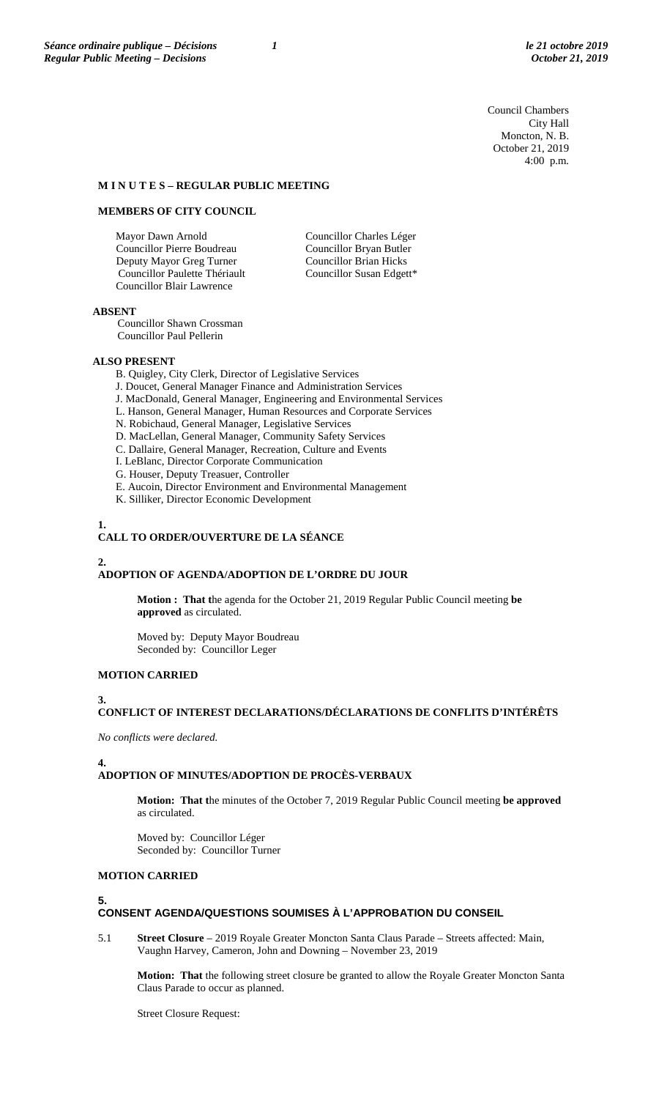Council Chambers City Hall Moncton, N. B. October 21, 2019 4:00 p.m.

### **M I N U T E S – REGULAR PUBLIC MEETING**

#### **MEMBERS OF CITY COUNCIL**

Mayor Dawn Arnold Councillor Pierre Boudreau Deputy Mayor Greg Turner Councillor Paulette Thériault Councillor Blair Lawrence

Councillor Charles Léger Councillor Bryan Butler Councillor Brian Hicks Councillor Susan Edgett\*

#### **ABSENT**

Councillor Shawn Crossman Councillor Paul Pellerin

### **ALSO PRESENT**

B. Quigley, City Clerk, Director of Legislative Services

- J. Doucet, General Manager Finance and Administration Services
- J. MacDonald, General Manager, Engineering and Environmental Services
- L. Hanson, General Manager, Human Resources and Corporate Services
- N. Robichaud, General Manager, Legislative Services
- D. MacLellan, General Manager, Community Safety Services
- C. Dallaire, General Manager, Recreation, Culture and Events
- I. LeBlanc, Director Corporate Communication
- G. Houser, Deputy Treasuer, Controller
- E. Aucoin, Director Environment and Environmental Management
- K. Silliker, Director Economic Development

#### **1.**

# **CALL TO ORDER/OUVERTURE DE LA SÉANCE**

# **2.**

### **ADOPTION OF AGENDA/ADOPTION DE L'ORDRE DU JOUR**

**Motion : That t**he agenda for the October 21, 2019 Regular Public Council meeting **be approved** as circulated.

Moved by: Deputy Mayor Boudreau Seconded by: Councillor Leger

## **MOTION CARRIED**

### **3.**

# **CONFLICT OF INTEREST DECLARATIONS/DÉCLARATIONS DE CONFLITS D'INTÉRÊTS**

*No conflicts were declared.*

### **4.**

## **ADOPTION OF MINUTES/ADOPTION DE PROCÈS-VERBAUX**

**Motion: That t**he minutes of the October 7, 2019 Regular Public Council meeting **be approved**  as circulated.

Moved by: Councillor Léger Seconded by: Councillor Turner

## **MOTION CARRIED**

#### **5.**

## **CONSENT AGENDA/QUESTIONS SOUMISES À L'APPROBATION DU CONSEIL**

5.1 **Street Closure** – 2019 Royale Greater Moncton Santa Claus Parade – Streets affected: Main, Vaughn Harvey, Cameron, John and Downing – November 23, 2019

**Motion: That** the following street closure be granted to allow the Royale Greater Moncton Santa Claus Parade to occur as planned.

Street Closure Request: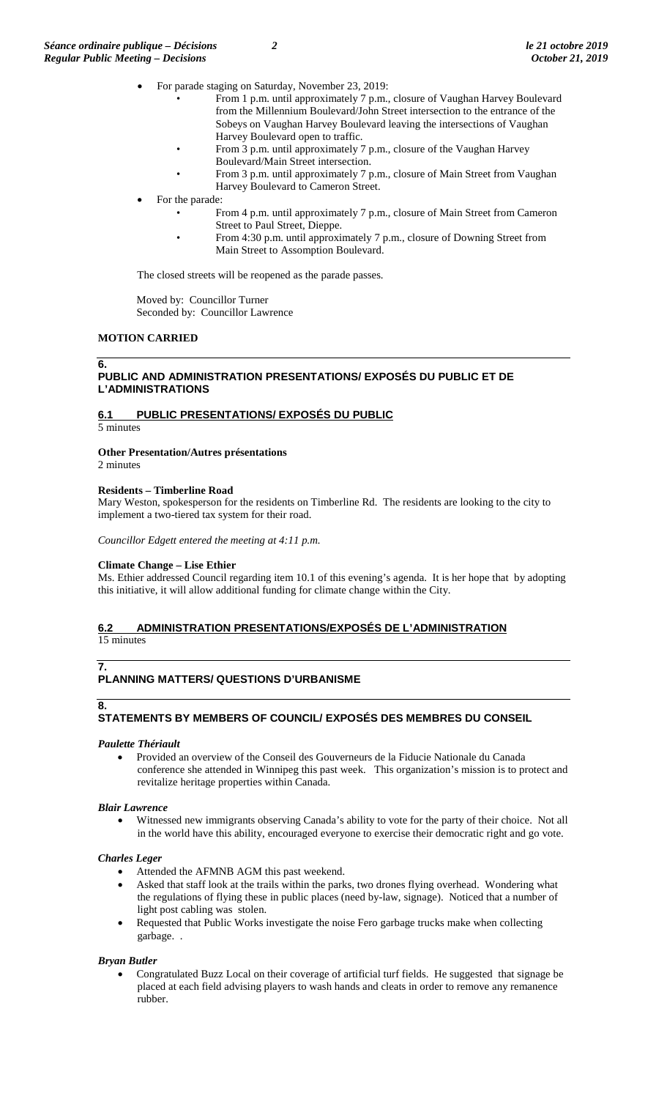- For parade staging on Saturday, November 23, 2019:
	- From 1 p.m. until approximately 7 p.m., closure of Vaughan Harvey Boulevard from the Millennium Boulevard/John Street intersection to the entrance of the Sobeys on Vaughan Harvey Boulevard leaving the intersections of Vaughan Harvey Boulevard open to traffic.
	- From 3 p.m. until approximately 7 p.m., closure of the Vaughan Harvey
	- Boulevard/Main Street intersection.
	- From 3 p.m. until approximately 7 p.m., closure of Main Street from Vaughan Harvey Boulevard to Cameron Street.
- For the parade:
	- From 4 p.m. until approximately 7 p.m., closure of Main Street from Cameron Street to Paul Street, Dieppe.
		- From 4:30 p.m. until approximately 7 p.m., closure of Downing Street from Main Street to Assomption Boulevard.

The closed streets will be reopened as the parade passes.

Moved by: Councillor Turner Seconded by: Councillor Lawrence

# **MOTION CARRIED**

## **6.**

## **PUBLIC AND ADMINISTRATION PRESENTATIONS/ EXPOSÉS DU PUBLIC ET DE L'ADMINISTRATIONS**

# **6.1 PUBLIC PRESENTATIONS/ EXPOSÉS DU PUBLIC**

5 minutes

## **Other Presentation/Autres présentations**

2 minutes

## **Residents – Timberline Road**

Mary Weston, spokesperson for the residents on Timberline Rd. The residents are looking to the city to implement a two-tiered tax system for their road.

*Councillor Edgett entered the meeting at 4:11 p.m.*

### **Climate Change – Lise Ethier**

Ms. Ethier addressed Council regarding item 10.1 of this evening's agenda. It is her hope that by adopting this initiative, it will allow additional funding for climate change within the City.

### **6.2 ADMINISTRATION PRESENTATIONS/EXPOSÉS DE L'ADMINISTRATION**  15 minutes

### **7. PLANNING MATTERS/ QUESTIONS D'URBANISME**

# **8.**

# **STATEMENTS BY MEMBERS OF COUNCIL/ EXPOSÉS DES MEMBRES DU CONSEIL**

### *Paulette Thériault*

• Provided an overview of the Conseil des Gouverneurs de la Fiducie Nationale du Canada conference she attended in Winnipeg this past week. This organization's mission is to protect and revitalize heritage properties within Canada.

# *Blair Lawrence*

• Witnessed new immigrants observing Canada's ability to vote for the party of their choice. Not all in the world have this ability, encouraged everyone to exercise their democratic right and go vote.

# *Charles Leger*

- Attended the AFMNB AGM this past weekend.
- Asked that staff look at the trails within the parks, two drones flying overhead. Wondering what the regulations of flying these in public places (need by-law, signage). Noticed that a number of light post cabling was stolen.
- Requested that Public Works investigate the noise Fero garbage trucks make when collecting garbage. .

# *Bryan Butler*

• Congratulated Buzz Local on their coverage of artificial turf fields. He suggested that signage be placed at each field advising players to wash hands and cleats in order to remove any remanence rubber.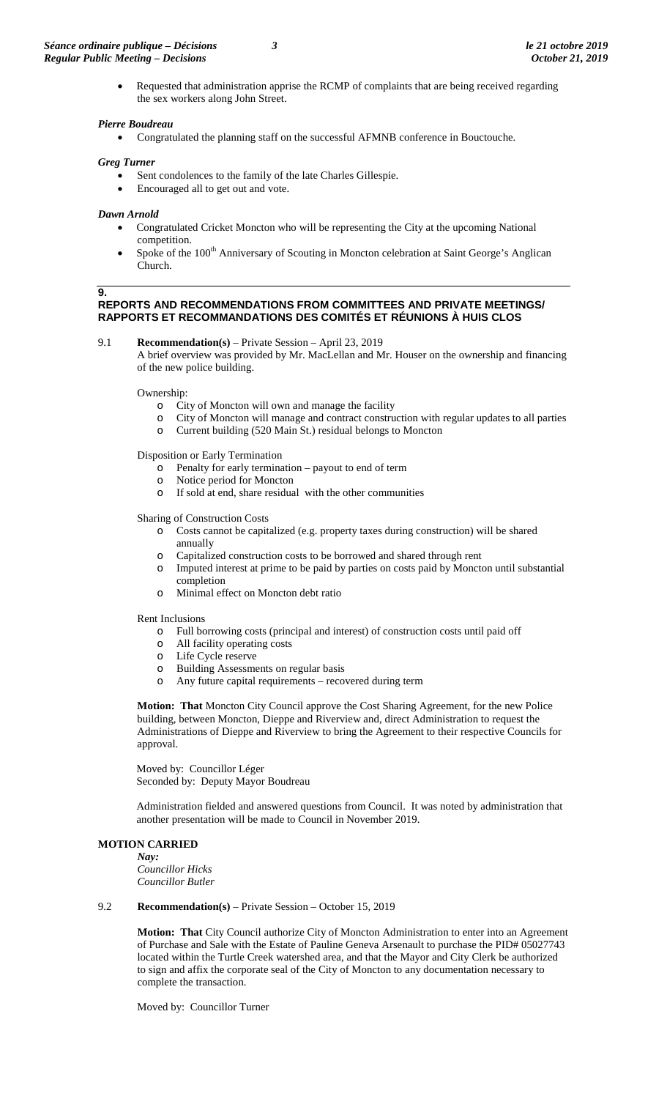• Requested that administration apprise the RCMP of complaints that are being received regarding the sex workers along John Street.

### *Pierre Boudreau*

• Congratulated the planning staff on the successful AFMNB conference in Bouctouche.

### *Greg Turner*

- Sent condolences to the family of the late Charles Gillespie.
- Encouraged all to get out and vote.

#### *Dawn Arnold*

- Congratulated Cricket Moncton who will be representing the City at the upcoming National competition.
- Spoke of the 100<sup>th</sup> Anniversary of Scouting in Moncton celebration at Saint George's Anglican Church.

#### **9.**

### **REPORTS AND RECOMMENDATIONS FROM COMMITTEES AND PRIVATE MEETINGS/ RAPPORTS ET RECOMMANDATIONS DES COMITÉS ET RÉUNIONS À HUIS CLOS**

9.1 **Recommendation(s)** – Private Session – April 23, 2019

A brief overview was provided by Mr. MacLellan and Mr. Houser on the ownership and financing of the new police building.

Ownership:

- o City of Moncton will own and manage the facility
- City of Moncton will manage and contract construction with regular updates to all parties
- o Current building (520 Main St.) residual belongs to Moncton

Disposition or Early Termination

- o Penalty for early termination payout to end of term  $\circ$  Notice period for Moncton
- Notice period for Moncton
- o If sold at end, share residual with the other communities

### Sharing of Construction Costs

- o Costs cannot be capitalized (e.g. property taxes during construction) will be shared annually
- 
- o Capitalized construction costs to be borrowed and shared through rent Imputed interest at prime to be paid by parties on costs paid by Moncton until substantial completion
- o Minimal effect on Moncton debt ratio

## Rent Inclusions

- o Full borrowing costs (principal and interest) of construction costs until paid off
- All facility operating costs
- o Life Cycle reserve
- o Building Assessments on regular basis<br>
o Any future capital requirements recov
- Any future capital requirements recovered during term

**Motion: That** Moncton City Council approve the Cost Sharing Agreement, for the new Police building, between Moncton, Dieppe and Riverview and, direct Administration to request the Administrations of Dieppe and Riverview to bring the Agreement to their respective Councils for approval.

Moved by: Councillor Léger Seconded by: Deputy Mayor Boudreau

Administration fielded and answered questions from Council. It was noted by administration that another presentation will be made to Council in November 2019.

#### **MOTION CARRIED**

*Nay: Councillor Hicks Councillor Butler*

#### 9.2 **Recommendation(s)** – Private Session – October 15, 2019

**Motion: That** City Council authorize City of Moncton Administration to enter into an Agreement of Purchase and Sale with the Estate of Pauline Geneva Arsenault to purchase the PID# 05027743 located within the Turtle Creek watershed area, and that the Mayor and City Clerk be authorized to sign and affix the corporate seal of the City of Moncton to any documentation necessary to complete the transaction.

Moved by: Councillor Turner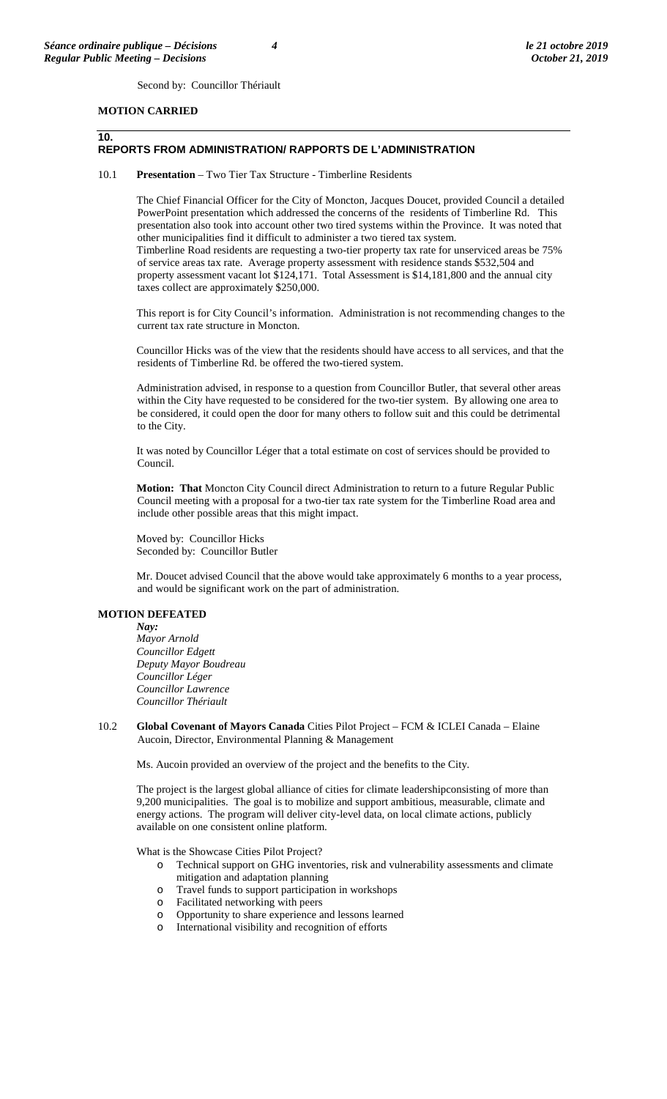Second by: Councillor Thériault

### **MOTION CARRIED**

**10.**

#### **REPORTS FROM ADMINISTRATION/ RAPPORTS DE L'ADMINISTRATION**

#### 10.1 **Presentation** – Two Tier Tax Structure - Timberline Residents

The Chief Financial Officer for the City of Moncton, Jacques Doucet, provided Council a detailed PowerPoint presentation which addressed the concerns of the residents of Timberline Rd. This presentation also took into account other two tired systems within the Province. It was noted that other municipalities find it difficult to administer a two tiered tax system. Timberline Road residents are requesting a two-tier property tax rate for unserviced areas be 75% of service areas tax rate. Average property assessment with residence stands \$532,504 and property assessment vacant lot \$124,171. Total Assessment is \$14,181,800 and the annual city taxes collect are approximately \$250,000.

This report is for City Council's information. Administration is not recommending changes to the current tax rate structure in Moncton.

Councillor Hicks was of the view that the residents should have access to all services, and that the residents of Timberline Rd. be offered the two-tiered system.

Administration advised, in response to a question from Councillor Butler, that several other areas within the City have requested to be considered for the two-tier system. By allowing one area to be considered, it could open the door for many others to follow suit and this could be detrimental to the City.

It was noted by Councillor Léger that a total estimate on cost of services should be provided to Council.

**Motion: That** Moncton City Council direct Administration to return to a future Regular Public Council meeting with a proposal for a two-tier tax rate system for the Timberline Road area and include other possible areas that this might impact.

Moved by: Councillor Hicks Seconded by: Councillor Butler

Mr. Doucet advised Council that the above would take approximately 6 months to a year process, and would be significant work on the part of administration.

#### **MOTION DEFEATED**

#### *Nay:*

*Mayor Arnold Councillor Edgett Deputy Mayor Boudreau Councillor Léger Councillor Lawrence Councillor Thériault*

10.2 **Global Covenant of Mayors Canada** Cities Pilot Project – FCM & ICLEI Canada – Elaine Aucoin, Director, Environmental Planning & Management

Ms. Aucoin provided an overview of the project and the benefits to the City.

The project is the largest global alliance of cities for climate leadershipconsisting of more than 9,200 municipalities. The goal is to mobilize and support ambitious, measurable, climate and energy actions. The program will deliver city-level data, on local climate actions, publicly available on one consistent online platform.

What is the Showcase Cities Pilot Project?

- o Technical support on GHG inventories, risk and vulnerability assessments and climate mitigation and adaptation planning
- o Travel funds to support participation in workshops
- o Facilitated networking with peers
- o Opportunity to share experience and lessons learned
- o International visibility and recognition of efforts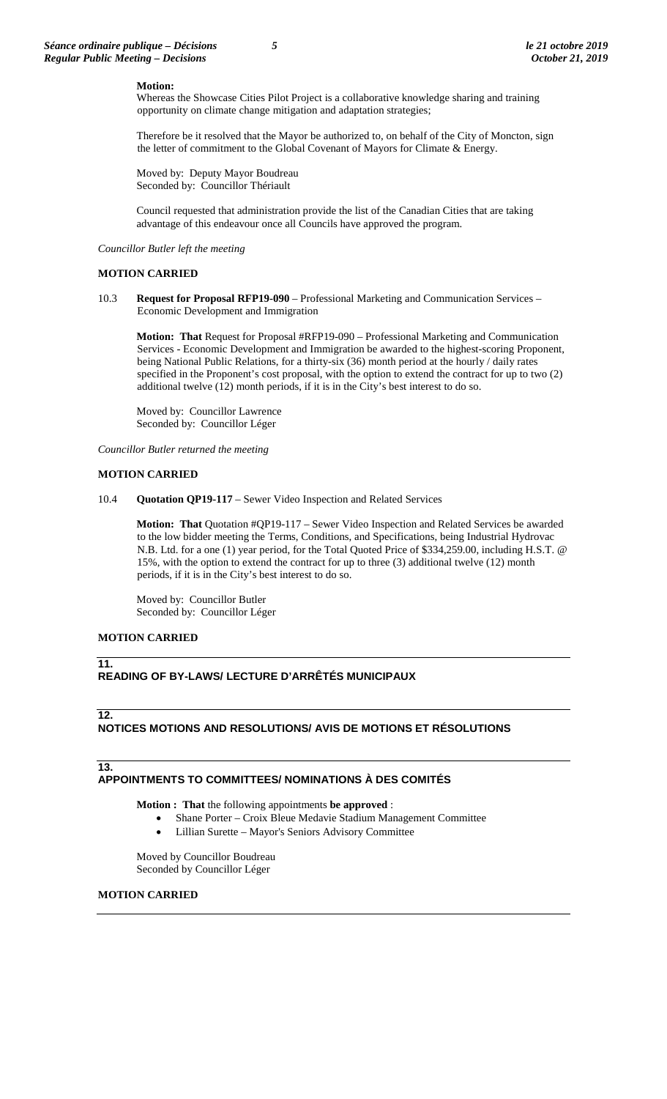#### **Motion:**

Whereas the Showcase Cities Pilot Project is a collaborative knowledge sharing and training opportunity on climate change mitigation and adaptation strategies;

Therefore be it resolved that the Mayor be authorized to, on behalf of the City of Moncton, sign the letter of commitment to the Global Covenant of Mayors for Climate & Energy.

Moved by:Deputy Mayor Boudreau Seconded by: Councillor Thériault

Council requested that administration provide the list of the Canadian Cities that are taking advantage of this endeavour once all Councils have approved the program.

*Councillor Butler left the meeting*

#### **MOTION CARRIED**

10.3 **Request for Proposal RFP19-090** – Professional Marketing and Communication Services – Economic Development and Immigration

**Motion: That** Request for Proposal #RFP19-090 – Professional Marketing and Communication Services - Economic Development and Immigration be awarded to the highest-scoring Proponent, being National Public Relations, for a thirty-six (36) month period at the hourly / daily rates specified in the Proponent's cost proposal, with the option to extend the contract for up to two (2) additional twelve (12) month periods, if it is in the City's best interest to do so.

Moved by: Councillor Lawrence Seconded by:Councillor Léger

*Councillor Butler returned the meeting*

#### **MOTION CARRIED**

10.4 **Quotation QP19-117** – Sewer Video Inspection and Related Services

**Motion: That** Quotation #QP19-117 – Sewer Video Inspection and Related Services be awarded to the low bidder meeting the Terms, Conditions, and Specifications, being Industrial Hydrovac N.B. Ltd. for a one (1) year period, for the Total Quoted Price of \$334,259.00, including H.S.T. @ 15%, with the option to extend the contract for up to three (3) additional twelve (12) month periods, if it is in the City's best interest to do so.

Moved by: Councillor Butler Seconded by:Councillor Léger

#### **MOTION CARRIED**

#### **11.**

# **READING OF BY-LAWS/ LECTURE D'ARRÊTÉS MUNICIPAUX**

#### **12.**

# **NOTICES MOTIONS AND RESOLUTIONS/ AVIS DE MOTIONS ET RÉSOLUTIONS**

# **13.**

# **APPOINTMENTS TO COMMITTEES/ NOMINATIONS À DES COMITÉS**

**Motion : That** the following appointments **be approved** :

- Shane Porter Croix Bleue Medavie Stadium Management Committee
	- Lillian Surette Mayor's Seniors Advisory Committee

Moved by Councillor Boudreau Seconded by Councillor Léger

# **MOTION CARRIED**